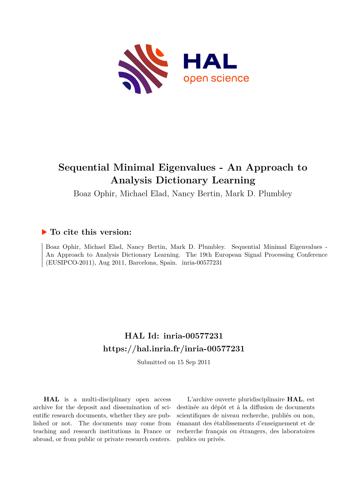

# **Sequential Minimal Eigenvalues - An Approach to Analysis Dictionary Learning**

Boaz Ophir, Michael Elad, Nancy Bertin, Mark D. Plumbley

# **To cite this version:**

Boaz Ophir, Michael Elad, Nancy Bertin, Mark D. Plumbley. Sequential Minimal Eigenvalues - An Approach to Analysis Dictionary Learning. The 19th European Signal Processing Conference (EUSIPCO-2011), Aug 2011, Barcelona, Spain. inria-00577231

# **HAL Id: inria-00577231 <https://hal.inria.fr/inria-00577231>**

Submitted on 15 Sep 2011

**HAL** is a multi-disciplinary open access archive for the deposit and dissemination of scientific research documents, whether they are published or not. The documents may come from teaching and research institutions in France or abroad, or from public or private research centers.

L'archive ouverte pluridisciplinaire **HAL**, est destinée au dépôt et à la diffusion de documents scientifiques de niveau recherche, publiés ou non, émanant des établissements d'enseignement et de recherche français ou étrangers, des laboratoires publics ou privés.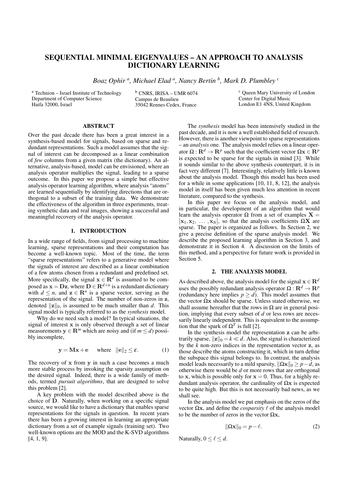# SEQUENTIAL MINIMAL EIGENVALUES – AN APPROACH TO ANALYSIS DICTIONARY LEARNING

*Boaz Ophir <sup>a</sup> , Michael Elad <sup>a</sup> , Nancy Bertin <sup>b</sup> , Mark D. Plumbley <sup>c</sup>*

<sup>a</sup> Technion – Israel Institute of Technology Department of Computer Science Haifa 32000, Israel

<sup>b</sup> CNRS, IRISA – UMR 6074 Campus de Beaulieu 35042 Rennes Cedex, France

<sup>c</sup> Queen Mary University of London Center for Digital Music London E1 4NS, United Kingdom

# ABSTRACT

Over the past decade there has been a great interest in a synthesis-based model for signals, based on sparse and redundant representations. Such a model assumes that the signal of interest can be decomposed as a linear combination of *few* columns from a given matrix (the dictionary). An alternative, analysis-based, model can be envisioned, where an analysis operator multiplies the signal, leading to a sparse outcome. In this paper we propose a simple but effective analysis operator learning algorithm, where analysis "atoms" are learned sequentially by identifying directions that are orthogonal to a subset of the training data. We demonstrate the effectiveness of the algorithm in three experiments, treating synthetic data and real images, showing a successful and meaningful recovery of the analysis operator.

# 1. INTRODUCTION

In a wide range of fields, from signal processing to machine learning, sparse representations and their computation has become a well-known topic. Most of the time, the term "sparse representations" refers to a generative model where the signals of interest are described as a linear combination of a few atoms chosen from a redundant and predefined set. More specifically, the signal  $\mathbf{x} \in \mathbb{R}^d$  is assumed to be composed as  $\mathbf{x} = \mathbf{D}\mathbf{z}$ , where  $\mathbf{D} \in \mathbf{R}^{d \times n}$  is a redundant dictionary with  $d \leq n$ , and  $z \in \mathbb{R}^n$  is a sparse vector, serving as the representation of the signal. The number of non-zeros in **z**, denoted *∥***z***∥*0, is assumed to be much smaller than *d*. This signal model is typically referred to as the *synthesis* model.

Why do we need such a model? In typical situations, the signal of interest **x** is only observed through a set of linear measurements  $y \in \mathbb{R}^m$  which are noisy and (if  $m \le d$ ) possibly incomplete,

$$
y = Mx + e \quad \text{where} \quad ||e||_2 \le \varepsilon. \tag{1}
$$

The recovery of **x** from **y** in such a case becomes a much more stable process by invoking the sparsity assumption on the desired signal. Indeed, there is a wide family of methods, termed *pursuit algorithms*, that are designed to solve this problem [2].

A key problem with the model described above is the choice of **D**. Naturally, when working on a specific signal source, we would like to have a dictionary that enables sparse representations for the signals in question. In recent years there has been a growing interest in learning an appropriate dictionary from a set of example signals (training set). Two well-known options are the MOD and the K-SVD algorithms [4, 1, 9].

The *synthesis* model has been intensively studied in the past decade, and it is now a well established field of research. However, there is another viewpoint to sparse representations – an *analysis* one. The analysis model relies on a linear operator  $\Omega : \mathbf{R}^d \to \mathbf{R}^p$  such that the coefficient vector  $\Omega \mathbf{x} \in \mathbf{R}^p$ is expected to be sparse for the signals in mind [3]. While it sounds similar to the above synthesis counterpart, it is in fact very different [7]. Interestingly, relatively little is known about the analysis model. Though this model has been used for a while in some applications [10, 11, 8, 12], the analysis model in itself has been given much less attention in recent literature, compared to the synthesis.

In this paper we focus on the analysis model, and in particular, the development of an algorithm that would learn the analysis operator Ω from a set of examples  $X =$  $[\mathbf{x}_1, \mathbf{x}_2, \dots, \mathbf{x}_N]$ , so that the analysis coefficients  $\Omega \mathbf{X}$  are sparse. The paper is organized as follows. In Section 2, we give a precise definition of the sparse analysis model. We describe the proposed learning algorithm in Section 3, and demonstrate it in Section 4. A discussion on the limits of this method, and a perspective for future work is provided in Section 5.

# 2. THE ANALYSIS MODEL

As described above, the analysis model for the signal  $\mathbf{x} \in \mathbb{R}^d$ uses the possibly redundant analysis operator  $\Omega : \mathbb{R}^d \to \mathbb{R}^p$ (redundancy here implies  $p \ge d$ ). This model assumes that the vector  $\Omega$ **x** should be sparse. Unless stated otherwise, we shall assume hereafter that the rows in  $\Omega$  are in general position, implying that every subset of *d* or less rows are necessarily linearly independent. This is equivalent to the assumption that the spark of  $\Omega^T$  is full [2].

In the synthesis model the representation **z** can be arbitrarily sparse,  $||\mathbf{z}||_0 = k \ll d$ . Also, the signal is characterized by the  $\vec{k}$  non-zero indices in the representation vector **z**, as those describe the atoms constructing it, which in turn define the subspace this signal belongs to. In contrast, the analysis model leads necessarily to a mild sparsity,  $\|\Omega \mathbf{x}\|_0 \geq p - d$ , as otherwise there would be *d* or more rows that are orthogonal to **x**, which is possible only for  $x = 0$ . Thus, for a highly redundant analysis operator, the cardinality of Ω**x** is expected to be quite high. But this is not necessarily bad news, as we shall see.

In the analysis model we put emphasis on the zeros of the vector  $\Omega$ **x**, and define the *cosparsity*  $\ell$  of the analysis model to be the number of zeros in the vector  $\Omega$ **x**,

$$
\|\Omega \mathbf{x}\|_0 = p - \ell. \tag{2}
$$

Naturally,  $0 \leq \ell \leq d$ .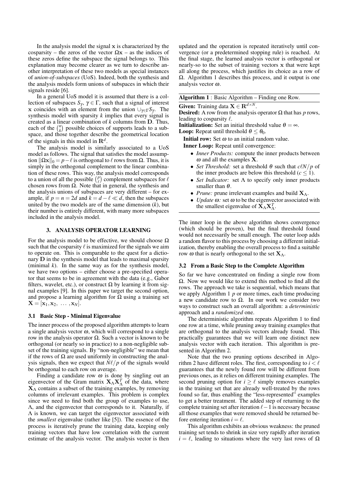In the analysis model the signal **x** is characterized by the cosparsity – the zeros of the vector  $\Omega x$  – as the indices of these zeros define the subspace the signal belongs to. This explanation may become clearer as we turn to describe another interpretation of these two models as special instances of *union-of-subspaces* (UoS). Indeed, both the synthesis and the analysis models form unions of subspaces in which their signals reside [6].

In a general UoS model it is assumed that there is a collection of subspaces  $S_{\gamma}$ ,  $\gamma \in \Gamma$ , such that a signal of interest **x** coincides with an element from the union *∪*<sup>γ</sup>*∈*Γ*S*<sup>γ</sup> . The synthesis model with sparsity *k* implies that every signal is created as a linear combination of *k* columns from **D**. Thus, each of the  $\binom{n}{k}$  possible choices of supports leads to a subspace, and those together describe the geometrical location of the signals in this model in **R***<sup>d</sup>* .

The analysis model is similarly associated to a UoS model as follows. The signal that satisfies the model assumption *∥*Ω**x***∥*<sup>0</sup> = *p−ℓ* is orthogonal to *ℓ* rows from Ω. Thus, it is simply in the orthogonal complement to the linear combination of these rows. This way, the analysis model corresponds to a union of all the possible  $\binom{p}{\ell}$  complement subspaces for  $\ell$ chosen rows from  $\Omega$ . Note that in general, the synthesis and the analysis unions of subspaces are very different – for example, if  $p = n = 2d$  and  $k = d - \ell \ll d$ , then the subspaces united by the two models are of the same dimension (*k*), but their number is entirely different, with many more subspaces included in the analysis model.

# 3. ANALYSIS OPERATOR LEARNING

For the analysis model to be effective, we should choose  $\Omega$ such that the cosparsity  $\ell$  is maximized for the signals we aim to operate on. This is comparable to the quest for a dictionary **D** in the synthesis model that leads to maximal sparsity (minimal *k*). In the same way as for the synthesis model, we have two options – either choose a pre-specified operator that seems to be in agreement with the data (e.g., Gabor filters, wavelet, etc.), or construct  $\Omega$  by learning it from signal examples [9]. In this paper we target the second option, and propose a learning algorithm for  $\Omega$  using a training set  $\mathbf{X} = [\mathbf{x}_1, \mathbf{x}_2, \dots, \mathbf{x}_N].$ 

# 3.1 Basic Step - Minimal Eigenvalue

The inner process of the proposed algorithm attempts to learn a single analysis vector  $\omega$ , which will correspond to a single row in the analysis operator  $Ω$ . Such a vector is known to be orthogonal (or nearly so in practice) to a non-negligible subset of the training signals. By "non-negligible" we mean that if the rows of  $\Omega$  are used uniformly in constructing the analysis signals, then we expect that *Nℓ/p* of the signals would be orthogonal to each row on average.

Finding a candidate row  $\omega$  is done by singling out an eigenvector of the Gram matrix  $X_{\Lambda} X_{\Lambda}^{T}$  of the data, where  $X_\Lambda$  contains a subset of the training examples, by removing columns of irrelevant examples. This problem is complex since we need to find both the group of examples to use, Λ, and the eigenvector that corresponds to it. Naturally, if Λ is known, we can target the eigenvector associated with the *smallest* eigenvalue (rather like [5]). The essence of the process is iteratively prune the training data, keeping only training vectors that have low correlation with the current estimate of the analysis vector. The analysis vector is then updated and the operation is repeated iteratively until convergence (or a predetermined stopping rule) is reached. At the final stage, the learned analysis vector is orthogonal or nearly-so to the subset of training vectors **x** that were kept all along the process, which justifies its choice as a row of  $\Omega$ . Algorithm 1 describes this process, and it output is one analysis vector <sup>ω</sup>.

# Algorithm 1 : Basic Algorithm – Finding one Row.

Given: Training data **X**  $\in$  **R**<sup>*d*×*N*</sup>.

**Desired:** A row from the analysis operator  $Ω$  that has *p* rows, leading to cosparsity *ℓ*.

**Initialization:** Set an initial threshold value  $\theta = \infty$ .

**Loop:** Repeat until threshold  $\theta \leq \theta_0$ .

**Initial row:** Set  $\omega$  to an initial random value.

Inner Loop: Repeat until convergence:

- *• Inner Products:* compute the inner products between <sup>ω</sup> and all the examples **X**.
- *Set Threshold:* set a threshold  $\theta$  such that  $c\ell N/p$  of the inner products are below this threshold ( $c \leq 1$ ).
- *• Set Indicator:* set Λ to specify only inner products smaller than  $\theta$ .
- *• Prune:* prune irrelevant examples and build **X**Λ.
- *• Update* <sup>ω</sup>*:* set <sup>ω</sup> to be the eigenvector associated with the smallest eigenvalue of  $\tilde{\mathbf{X}}_{\Lambda} \mathbf{X}_{\Lambda}^{T}$ .

The inner loop in the above algorithm shows convergence (which should be proven), but the final threshold found would not necessarily be small enough. The outer loop adds a random flavor to this process by choosing a different initialization, thereby enabling the overall process to find a suitable row ω that is nearly orthogonal to the set  $X_\Lambda$ .

#### 3.2 From a Basic Step to the Complete Algorithm

So far we have concentrated on finding a single row from  $\Omega$ . Now we would like to extend this method to find all the rows. The approach we take is sequential, which means that we apply Algorithm 1 *p* or more times, each time producing a new candidate row to Ω. In our work we consider two ways to construct such an overall algorithm: a *deterministic* approach and a *randomized* one.

The deterministic algorithm repeats Algorithm 1 to find one row at a time, while pruning away training examples that are orthogonal to the analysis vectors already found. This practically guarantees that we will learn one distinct new analysis vector with each iteration. This algorithm is presented in Algorithm 2.

Note that the two pruning options described in Algorithm 2 have different roles. The first, corresponding to *i < ℓ* guarantees that the newly found row will be different from previous ones, as it relies on different training examples. The second pruning option for  $i \geq \ell$  simply removes examples in the training set that are already well-treated by the rows found so far, thus enabling the "less-represented" examples to get a better treatment. The added step of returning to the complete training set after iteration *ℓ−*1 is necessary because all those examples that were removed should be returned before entering iteration  $i = \ell$ .

This algorithm exhibits an obvious weakness: the pruned training set tends to shrink in size very rapidly after iteration  $i = \ell$ , leading to situations where the very last rows of  $\Omega$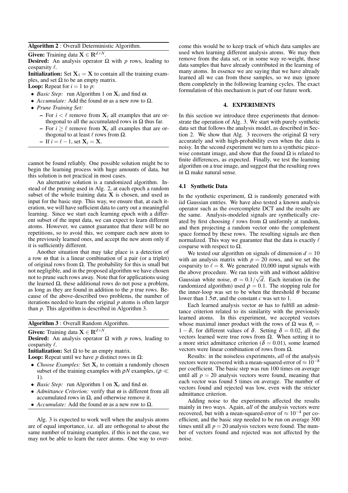#### Algorithm 2 : Overall Deterministic Algorithm.

Given: Training data  $X \in \mathbb{R}^{d \times N}$ .

**Desired:** An analysis operator  $\Omega$  with *p* rows, leading to cosparsity *ℓ*.

**Initialization:** Set  $X_1 = X$  to contain all the training examples, and set  $\Omega$  to be an empty matrix.

**Loop:** Repeat for  $i = 1$  to  $p$ :

- *• Basic Step:* run Algorithm 1 on **X***<sup>i</sup>* and find <sup>ω</sup>.
- *Accumulate:* Add the found  $\omega$  as a new row to  $\Omega$ .
- *• Prune Training Set:*
	- For  $i < \ell$  remove from  $X_i$  all examples that are orthogonal to all the accumulated rows in  $Ω$  thus far.
	- $\mathbf{P} = \text{For } i \geq \ell \text{ remove from } \mathbf{X}_i$  all examples that are orthogonal to at least *ℓ* rows from Ω.
	- $\blacksquare$  If *i* =  $\ell$  − 1, set  $\mathbf{X}_i = \mathbf{X}$ .

cannot be found reliably. One possible solution might be to begin the learning process with huge amounts of data, but this solution is not practical in most cases.

An alternative solution is a randomized algorithm. Instead of the pruning used in Alg. 2, at each epoch a random subset of the whole training data **X** is chosen, and used as input for the basic step. This way, we ensure that, at each iteration, we will have sufficient data to carry out a meaningful learning. Since we start each learning epoch with a different subset of the input data, we can expect to learn different atoms. However, we cannot guarantee that there will be no repetitions, so to avoid this, we compare each new atom to the previously learned ones, and accept the new atom only if it is sufficiently different.

Another situation that may take place is a detection of a row  $\omega$  that is a linear combination of a pair (or a triplet) of original rows from  $\Omega$ . The probability for this is small but not negligible, and in the proposed algorithm we have chosen not to prune such rows away. Note that for applications using the learned  $Ω$ , these additional rows do not pose a problem, as long as they are found in addition to the *p* true rows. Because of the above-described two problems, the number of iterations needed to learn the original *p* atoms is often larger than *p*. This algorithm is described in Algorithm 3.

Algorithm 3 : Overall Random Algorithm.

Given: Training data  $\mathbf{X} \in \mathbf{R}^{d \times N}$ .

**Desired:** An analysis operator  $\Omega$  with *p* rows, leading to cosparsity *ℓ*.

**Initialization:** Set  $Ω$  to be an empty matrix.

**Loop:** Repeat until we have *p* distinct rows in  $Ω$ :

- *Choose Examples:* Set  $X_t$  to contain a randomly chosen subset of the training examples with <sup>ρ</sup>*N* examples, (<sup>ρ</sup> *≪* 1).
- *• Basic Step:* run Algorithm 1 on **X***<sup>t</sup>* and find <sup>ω</sup>.
- *• Admittance Criterion:* verify that <sup>ω</sup> is different from all accumulated rows in Ω, and otherwise remove it.
- *• Accumulate:* Add the found <sup>ω</sup> as a new row to Ω.

Alg. 3 is expected to work well when the analysis atoms are of equal importance, i.e. all are orthogonal to about the same number of training examples. if this is not the case, we may not be able to learn the rarer atoms. One way to overcome this would be to keep track of which data samples are used when learning different analysis atoms. We may then remove from the data set, or in some way re-weight, those data samples that have already contributed in the learning of many atoms. In essence we are saying that we have already learned all we can from these samples, so we may ignore them completely in the following learning cycles. The exact formulation of this mechanism is part of our future work.

# 4. EXPERIMENTS

In this section we introduce three experiments that demonstrate the operation of Alg. 3. We start with purely synthetic data set that follows the analysis model, as described in Section 2. We show that Alg. 3 recovers the original  $\Omega$  very accurately and with high-probability even when the data is noisy. In the second experiment we turn to a synthetic piecewise constant image, and show that the found  $\Omega$  is related to finite differences, as expected. Finally, we test the learning algorithm on a true image, and suggest that the resulting rows in Ω make natural sense.

#### 4.1 Synthetic Data

In the synthetic experiment,  $\Omega$  is randomly generated with iid Gaussian entries. We have also tested a known analysis operator such as the overcomplete DCT and the results are the same. Analysis-modeled signals are synthetically created by first choosing  $\ell$  rows from  $\Omega$  uniformly at random, and then projecting a random vector onto the complement space formed by these rows. The resulting signals are then normalized. This way we guarantee that the data is exactly *ℓ* cosparse with respect to  $\Omega$ .

We tested our algorithm on signals of dimension  $d = 10$ with an analysis matrix with  $p = 20$  rows, and we set the cosparsity to  $\ell = 8$ . We generated 10,000 input signals with the above procedure. We ran tests with and without additive Gaussian white noise,  $\sigma = 0.1/\sqrt{d}$ . Each iteration (in the randomized algorithm) used  $\rho = 0.1$ . The stopping rule for the inner-loop was set to be when the threshold  $\theta$  became lower than  $1.5\sigma$ , and the constant *c* was set to 1.

Each learned analysis vector  $\omega$  has to fulfill an admittance criterion related to its similarity with the previously learned atoms. In this experiment, we accepted vectors whose maximal inner product with the rows of  $\Omega$  was  $\theta_s =$ 1 − δ, for different values of δ. Setting  $\delta$  = 0.02, all the vectors learned were true rows from Ω. When setting it to a more strict admittance criterion ( $\delta = 0.01$ ), some learned vectors were linear combination of rows from Ω.

Results: in the noiseless experiments, *all* of the analysis vectors were recovered with a mean-squared-error of *<sup>≈</sup>* <sup>10</sup>*−*<sup>8</sup> per coefficient. The basic step was run 100 times on average until all  $p = 20$  analysis vectors were found, meaning that each vector was found 5 times on average. The number of vectors found and rejected was low, even with the stricter admittance criterion.

Adding noise to the experiments affected the results mainly in two ways. Again, *all* of the analysis vectors were recovered, but with a mean-squared-error of *<sup>≈</sup>* <sup>10</sup>*−*<sup>4</sup> per coefficient, and the basic step needed to be run on average 300 times until all  $p = 20$  analysis vectors were found. The number of vectors found and rejected was not affected by the noise.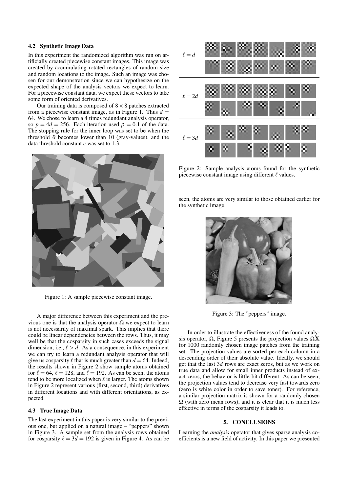# 4.2 Synthetic Image Data

In this experiment the randomized algorithm was run on artificially created piecewise constant images. This image was created by accumulating rotated rectangles of random size and random locations to the image. Such an image was chosen for our demonstration since we can hypothesize on the expected shape of the analysis vectors we expect to learn. For a piecewise constant data, we expect these vectors to take some form of oriented derivatives.

Our training data is composed of 8*×*8 patches extracted from a piecewise constant image, as in Figure 1. Thus  $d =$ 64. We chose to learn a 4 times redundant analysis operator, so  $p = 4d = 256$ . Each iteration used  $p = 0.1$  of the data. The stopping rule for the inner loop was set to be when the threshold  $\theta$  becomes lower than 10 (gray-values), and the data threshold constant *c* was set to 1*.*3.



Figure 1: A sample piecewise constant image.

A major difference between this experiment and the previous one is that the analysis operator Ω we expect to learn is not necessarily of maximal spark. This implies that there could be linear dependencies between the rows. Thus, it may well be that the cosparsity in such cases exceeds the signal dimension, i.e.,  $\ell > d$ . As a consequence, in this experiment we can try to learn a redundant analysis operator that will give us cosparsity  $\ell$  that is much greater than  $d = 64$ . Indeed, the results shown in Figure 2 show sample atoms obtained for  $\ell = 64$ ,  $\ell = 128$ , and  $\ell = 192$ . As can be seen, the atoms tend to be more localized when *ℓ* is larger. The atoms shown in Figure 2 represent various (first, second, third) derivatives in different locations and with different orientations, as expected.

# 4.3 True Image Data

The last experiment in this paper is very similar to the previous one, but applied on a natural image – "peppers" shown in Figure 3. A sample set from the analysis rows obtained for cosparsity  $\ell = 3d = 192$  is given in Figure 4. As can be



Figure 2: Sample analysis atoms found for the synthetic piecewise constant image using different *ℓ* values.

seen, the atoms are very similar to those obtained earlier for the synthetic image.



Figure 3: The "peppers" image.

In order to illustrate the effectiveness of the found analysis operator, Ω, Figure 5 presents the projection values Ω**X** for 1000 randomly chosen image patches from the training set. The projection values are sorted per each column in a descending order of their absolute value. Ideally, we should get that the last 3*d* rows are exact zeros, but as we work on true data and allow for small inner products instead of exact zeros, the behavior is little-bit different. As can be seen, the projection values tend to decrease very fast towards zero (zero is white color in order to save toner). For reference, a similar projection matrix is shown for a randomly chosen  $\Omega$  (with zero mean rows), and it is clear that it is much less effective in terms of the cosparsity it leads to.

# 5. CONCLUSIONS

Learning the *analysis* operator that gives sparse analysis coefficients is a new field of activity. In this paper we presented